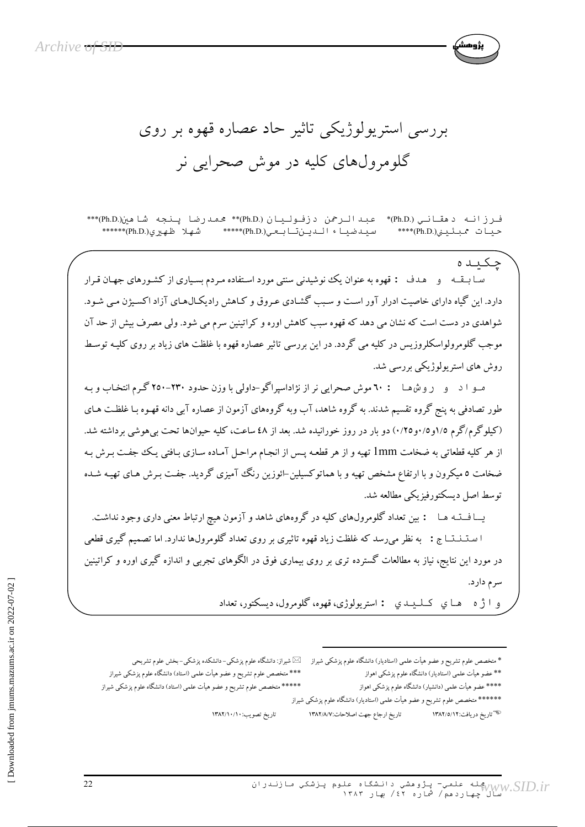بررسی استریولوژیکی تاثیر حاد عصاره قهوه بر روی گلومرولهای کلیه در موش صحرایی نر

فرزانه دهقاني (.Ph.D)\* عبدالرحمن دزفوليان (.Ph.D)\*\* محمدرضا پنجه شاهين(.Ph.D)\*\*\* سىدضىيا ، الىدىن تابىعى (Ph.D.) \*\*\*\*\* (Ph.D) شهلا ظهيرى (Ph.D) \*\*\*\*\*\* حىيات ممىئىدى (Ph.D.)\*\*\*\*

چکیده سـا بــقــه و هـدف : قهوه به عنوان يك نوشيدني سنتي مورد اسـتفاده مـردم بسـياري از كشـورهاي جهـان قـرار دارد. این گیاه دارای خاصیت ادرار آور است و سبب گشادی عروق و کـاهش رادیکـال۵عـای آزاد اکسـیژن مـی شـود. شواهدی در دست است که نشان می دهد که قهوه سبب کاهش اوره و کراتینین سرم می شود. ولی مصرف بیش از حد آن موجب گلومرولواسکلروزیس در کلیه می گردد. در این بررسی تاثیر عصاره قهوه با غلظت های زیاد بر روی کلیـه توسـط روش های استر یولوژیکی بررسی شد.

مـو ا د و روشها : ٦٠ موش صحرايي نر از نژاداسپراگو-داولي با وزن حدود ٢٣٠-٢٥٠ گرم انتخاب و بـه طور تصادفی به پنج گروه تقسیم شدند. به گروه شاهد، آب وبه گروههای آزمون از عصاره آبی دانه قهـوه بـا غلظـت هـای (کیلوگرم/گرم ۱/۵و۰/۱٫۵ق/۱۰) دو بار در روز خورانیده شد. بعد از ٤٨ ساعت، کلیه حیوانها تحت بیهوشی برداشته شد. از هر کلیه قطعاتی به ضخامت lmm تهیه و از هر قطعـه پـس از انجـام مراحـل آمـاده سـازی بـافتی یـک جفـت بـرش بـه ضخامت ٥ میکرون و با ارتفاع مشخص تهیه و با هماتوکسیلین-ائوزین رنگ آمیزی گردید. جفت بـرش هـای تهیـه شـده توسط اصل ديسكتورفيزيكي مطالعه شد.

یــا فـــتـه هــا : بین تعداد گلومرول&ای کلیه در گروههای شاهد و آزمون هیچ ارتباط معنی داری وجود نداشت. ا سـتــنـنـــا ج : به نظر می رسد که غلظت زیاد قهوه تاثیری بر روی تعداد گلومرولها ندارد. اما تصمیم گیری قطعی در مورد این نتایج، نیاز به مطالعات گسترده تری بر روی بیماری فوق در الگوهای تجربی و اندازه گیری اوره و کراتینین سرم دارد.

و ا ژ ه په ها ي کيليدي : استريولوژي، قهوه، گلومرول، ديسکتور، تعداد

شیراز: دانشگاه علوم پزشکی– دانشکده پزشکی– بخش علوم تشریحی $\boxtimes$ \* متخصص علوم تشريح و عضو هيأت علمي (استاديار) دانشگاه علوم پزشكي شيراز \*\*\* متخصص علوم تشريح و عضو هيأت علمى (استاد) دانشگاه علوم پزشكى شيراز \*\* عضو هیأت علمی (استادیار) دانشگاه علوم پزشکی اهواز \*\*\*\*\* متخصص علوم تشريح و عضو هيأت علمى (استاد) دانشگاه علوم پزشكى شيراز \*\*\*\* عضو هیأت علمی (دانشیار) دانشگاه علوم پزشکی اهواز \*\*\*\*\*\* متخصص علوم تشريح و عضو هيأت علمى (استاديار) دانشگاه علوم پزشكى شيراز تاريخ ارجاع جهت اصلاحات:١٣٨٢/٨/٧ <sup>پ</sup> تاریخ دریافت:۱۳۸۲/٥/۱۲ تاريخ تصويب:١٣٨٢/١٠/١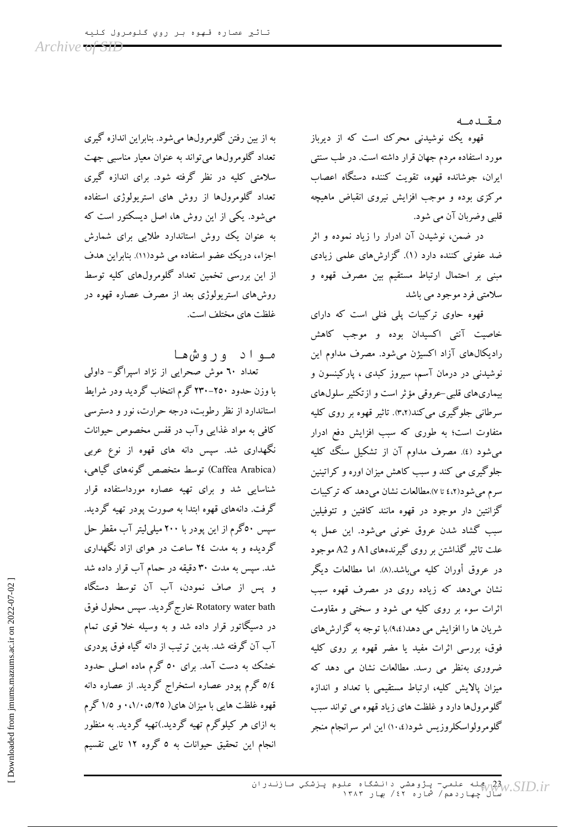مقدمه

قهوه یک نوشیدنی محرک است که از دیرباز مورد استفاده مردم جهان قرار داشته است. در طب سنتی ابران، جوشانده قهوه، تقویت کننده دستگاه اعصاب مرکزی بوده و موجب افزایش نیروی انقباض ماهیچه قلبي وضربان آن مي شود.

در ضمن، نوشیدن آن ادرار را زیاد نموده و اثر ضد عفونی کننده دارد (۱). گزارش های علمی زیادی مبنی بر احتمال ارتباط مستقیم بین مصرف قهوه و سلامتی فرد موجود می باشد

قهوه حاوی ترکیبات پلی فنلی است که دارای خاصیت آنتی اکسیدان بوده و موجب کاهش رادیکال،های آزاد اکسیژن میشود. مصرف مداوم این نوشیدنی در درمان آسم، سیروز کبدی ، پارکینسون و بیماریهای قلبی حروقی مؤثر است و ازتکثیر سلولهای سرطاني جلوگيري مي کند(۳،۲). تاثير قهوه بر روي کليه متفاوت است؛ به طوری که سبب افزایش دفع ادرار می شود (٤). مصرف مداوم آن از تشکیل سنگ کلیه جلوگیری می کند و سبب کاهش میزان اوره و کراتینین سرم می شود(٤،٢ تا ٧).مطالعات نشان می دهد که تر کیبات گزانتین دار موجود در قهوه مانند کافئین و تئوفیلین سبب گشاد شدن عروق خونی میشود. این عمل به علت تاثیر گذاشتن بر روی گیرندههای A1 و A2 موجود در عروق أوران كليه مي باشد.(۸). اما مطالعات ديگر نشان میدهد که زیاده روی در مصرف قهوه سبب اثرات سوء بر روی کلیه می شود و سختی و مقاومت شر بان ها را افزایش می دهد(۹،٤).با توجه به گزارش های فوق، بررسی اثرات مفید یا مضر قهوه بر روی کلیه ضروری بهنظر می رسد. مطالعات نشان می دهد که میزان یالایش کلیه، ارتباط مستقیمی با تعداد و اندازه گلومرولها دارد و غلظت های زیاد قهوه می تواند سبب گلومرولواسکلروزیس شود(١٠،٤) این امر سرانجام منجر

به از بین رفتن گلومرولها میشود. بنابراین اندازه گیری تعداد گلومرولها مي تواند به عنوان معيار مناسبي جهت سلامتی کلبه در نظر گرفته شود. برای اندازه گیری تعداد گلومرولها از روش های استریولوژی استفاده می شود. یکی از این روش ها، اصل دیسکتور است که به عنوان یک روش استاندارد طلایی برای شمارش اجزاء، دریک عضو استفاده می شود(۱۱). بنابراین هدف از این بررسی تخمین تعداد گلومرولهای کلیه توسط روشهای استریولوژی بعد از مصرف عصاره قهوه در غلظت های مختلف است.

مواد وروش ها تعداد ٦٠ موش صحرایی از نژاد اسپراگو- داولی با وزن حدود ۲۵۰–۲۳۰ گرم انتخاب گردید ودر شرایط استاندارد از نظر رطوبت، درجه حرارت، نور و دسترسی کافي به مواد غذايي وآب در قفس مخصوص حيوانات نگهداری شد. سپس دانه های قهوه از نوع عربی (Caffea Arabica) توسط متخصص گونههای گیاهی، شناسایی شد و برای تهیه عصاره مورداستفاده قرار گرفت. دانههای قهوه ابتدا به صورت پودر تهیه گردید. سپس ٥٠گرم از اين پودر با ٢٠٠ ميليليتر آب مقطر حل گردیده و به مدت ٢٤ ساعت در هوای ازاد نگهداری شد. سپس به مدت ۳۰ دقیقه در حمام آب قرار داده شد و پس از صاف نمودن، آب آن توسط دستگاه Rotatory water bath خارج گردید. سیس محلول فوق در دسیگاتور قرار داده شد و به وسیله خلا قوی تمام آب آن گرفته شد. بدین ترتیب از دانه گیاه فوق پودری خشک به دست آمد. برای ٥٠ گرم ماده اصلی حدود 0/٤ گرم پودر عصاره استخراج گردید. از عصاره دانه قهوه غلظت هایی با میزان های( ۰،۱/۰،٥/۲۰ و ۱/۵ گرم به ازای هر کیلوگرم تهیه گردید.)تهیه گردید. به منظور انجام این تحقیق حیوانات به ٥ گروه ١٢ تایی تقسیم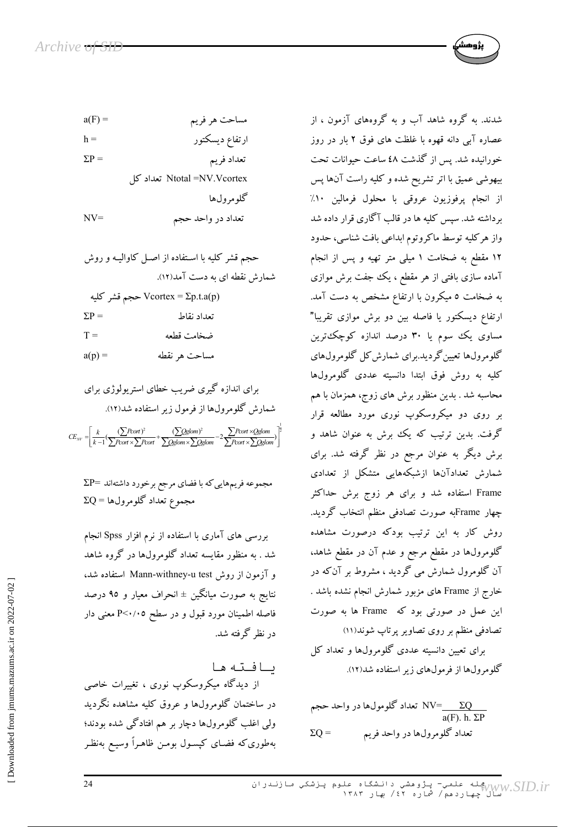

 $\Sigma P =$ تعداد فريم

Ntotal =NV.Vcortex تعداد كل

 $NV =$ تعداد در واحد حجم

حجم قشر کلیه با استفاده از اصل کاوالیه و روش  
شمارش نقطه ای به دست آمد(۱۲).  
تعداد نقاط
$$
\Sigma P = ∑P
$$
Fortext = ∑p.t.a(p)  
تعداد نقاطه  
π =  
a(p) =

مجموعه فریمهایی که با فضای مرجع برخورد داشتهاند =2P  $\Sigma Q$  مجموع تعداد گلومرولها

بررسی های آماری با استفاده از نرم افزار Spss انجام شد . به منظور مقایسه تعداد گلومرولها در گروه شاهد و آزمون از روش Mann-withney-u test استفاده شد، نتايج به صورت ميانگين ± انحراف معيار و ٩٥ درصد فاصله اطمینان مورد قبول و در سطح P<۰/۰۵ معنی دار در نظر گرفته شد.

ىافته ها از دیدگاه میکروسکوپ نوری ، تغییرات خاصی در ساختمان گلومرولها و عروق کلیه مشاهده نگردید ولی اغلب گلومرولها دچار بر هم افتادگی شده بودند؛ بهطوری که فضـای کپسـول بومـن ظاهـراً وسیـع بهنظـر شدند. به گروه شاهد آب و به گروههای آزمون ، از عصاره آبی دانه قهوه با غلظت های فوق ۲ بار در روز خورانیده شد. پس از گذشت ٤٨ ساعت حیوانات تحت بیهوشی عمیق با اتر تشریح شده و کلیه راست آنها پس از انجام يرفوزيون عروقي با محلول فرمالين ١٠٪ برداشته شد. سپس کلیه ها در قالب آگاری قرار داده شد واز هركليه توسط ماكروتوم ابداعي بافت شناسي، حدود ۱۲ مقطع به ضخامت ۱ میلی متر تهیه و پس از انجام آماده سازی بافتی از هر مقطع ، یک جفت برش موازی به ضخامت ٥ میکرون با ارتفاع مشخص به دست آمد. ارتفاع دیسکتور یا فاصله بین دو برش موازی تقریبا" مساوی یک سوم یا ۳۰ درصد اندازه کوچک ترین گلومرولها تعیین گردید.برای شمارش کل گلومرولهای کلیه به روش فوق ابتدا دانسیته عددی گلومرولها محاسبه شد . بدین منظور برش های زوج، همزمان با هم بر روی دو میکروسکوپ نوری مورد مطالعه قرار گرفت. بدین ترتیب که یک برش به عنوان شاهد و برش دیگر به عنوان مرجع در نظر گرفته شد. برای شمارش تعدادآنها ازشبکههایی متشکل از تعدادی Frame استفاده شد و برای هر زوج برش حداکثر چهار Frameبه صورت تصادفی منظم انتخاب گردید. روش کار به این ترتیب بودکه درصورت مشاهده گلومرولها در مقطع مرجع و عدم آن در مقطع شاهد، آن گلومرول شمارش می گردید ، مشروط بر آن که در خارج از Frame های مزبور شمارش انجام نشده باشد . این عمل در صورتی بود که Frame ها به صورت تصادفی منظم بر روی تصاویر پرتاپ شوند(۱۱) برای تعیین دانسیته عددی گلومرولها و تعداد کل

گلومرولها از فرمولهای زیر استفاده شد(۱۲).

تعداد گلومولها در واحد حجم  $\text{NV}=\underline{\Sigma\mathrm{Q}}$  $a(F)$  h  $\Sigma P$ تعداد گلومرولها در واحد فريم  $\Sigma$ O =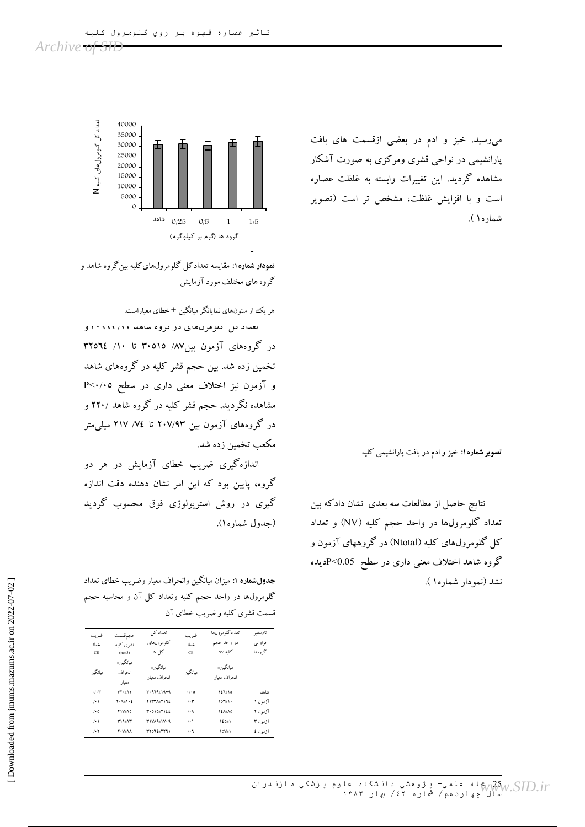میرسید. خیز و ادم در بعضی ازقسمت های بافت پارانشیمی در نواحی قشری ومرکزی به صورت آشکار مشاهده گردید. این تغییرات وابسته به غلظت عصاره است و با افزایش غلظت، مشخص تر است (تصویر شماره۱).

تصویر شماره ۱: خیز و ادم در بافت پارانشیمی کلیه

نتايج حاصل از مطالعات سه بعدي نشان دادكه بين تعداد گلومرولها در واحد حجم کلیه (NV) و تعداد کل گلومرولهای کلیه (Ntotal) در گروههای آزمون و گروه شاهد اختلاف معنی داری در سطح P<0.05ویده نشد (نمودار شماره١).



<mark>نمودار شماره۱: مق</mark>ایسه تعدادکل گلومرولهای کلیه بین گروه شاهد و گروه های مختلف مورد آزمایش

هر یک از ستونهای نمایانگر میانگین ± خطای معیاراست.

نعداد تل طومرنهای در تروه شاهد ۱۰۶۱٬۲۱۲ و در گروههای آزمون بین۸۷/ ۳۰۵۱۵ تا ۱۰/ ۳۲۵٦٤ تخمین زده شد. بین حجم قشر کلیه در گروههای شاهد و آزمون نیز اختلاف معنی داری در سطح P<۰/۰۵ مشاهده نگردید. حجم قشر کلیه در گروه شاهد ۲۲۰/ و در گروههای آزمون بین ۲۰۷/۹۳ تا ۷۶/ ۲۱۷ میلی متر مكعب تخمين زده شد.

اندازهگیری ضریب خطای آزمایش در هر دو گروه، پایین بود که این امر نشان دهنده دقت اندازه گیری در روش استرپولوژی فوق محسوب گردید (جدول شماره).

جدولشماره ۱: میزان میانگین وانحراف معیار وضریب خطای تعداد گلومرولها در واحد حجم کلیه وتعداد کل آن و محاسبه حجم قسمت قشري كليه و ضريب خطاي آن

| ضريب<br>خطا<br>$\rm CE$       | حجمقسمت<br>قشرى كلمه<br>(mm3) | تعداد کا ِ<br>کلو مرول های<br>کل N | ضريب<br>خطا<br><b>CE</b> | تعدادگلوم ولءا<br>در واحد حجم<br>کلمه NV | ناممتغير<br>فراواني<br>گر و هها |
|-------------------------------|-------------------------------|------------------------------------|--------------------------|------------------------------------------|---------------------------------|
| ممانگمن                       | مبانگہ ِ ±<br>انحراف<br>معمار | مانگہ ِ±<br>انحراف معبار           | مانگىن                   | مبانگہ ک<br>انحراف معبار                 |                                 |
| $\cdot/\cdot$ ۳               | $rr - 17$                     | $4.979 + 1909$                     | $\cdot/\cdot$ 0          | $151 + 10$                               | شاهد                            |
| $\left  \cdot \right $        | $Y \cdot 9 + 1 \cdot 2$       | <b>٢١٣٣٨+٢١٦٤</b>                  | $/$ . $\tau$             | $10T_{\pm}$ 1.                           | آزمون ۱                         |
| $\mathbf{1} \cdot \mathbf{0}$ | $Y1V \pm 10$                  | $T.010+7155$                       | /4                       | 1 ΣΛ±Λο                                  | آزمون ۲                         |
| $\left  \cdot \right $        | $T11+1T$                      | $T1VA4 \pm 1V \cdot 9$             | $\left  \cdot \right $   | $150 \pm 1$                              | آزمون ۳                         |
| $/$ . $\Upsilon$              | $Y \cdot V_{\pm} \setminus A$ | ٣٢٥٦٤+٢٢٦١                         | $\mathcal{L}$            | $\vee$                                   | آزمون £                         |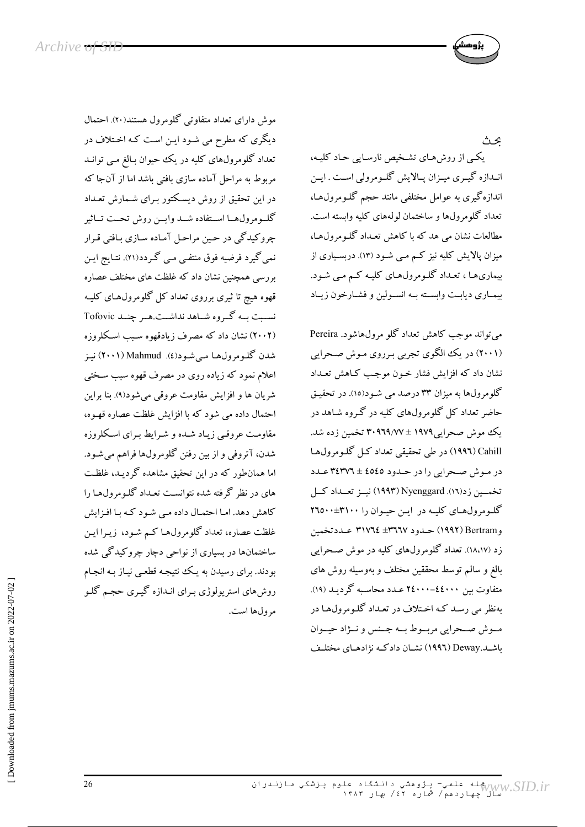ىحت

یکبی از روشهای تشخیص نارسایی حـاد کلیـه، انــدازه گیــری میــزان پــالایش گلــومرولی اســت . ایــن اندازهگیری به عوامل مختلفی مانند حجم گلـومرول۱عـا، تعداد گلومرولها و ساختمان لولههای کلیه وابسته است. مطالعات نشان می هد که با کاهش تعـداد گلـومرول۹عـا، میزان پالایش کلیه نیز کم می شـود (۱۳). دربسـیاری از بیماریها ، تعداد گلومرولهای کلیه کم می شود. بيمـاري ديابـت وابسـته بـه انسـولين و فشـارخون زيـاد

می تواند موجب کاهش تعداد گلو مرولهاشود. Pereira (۲۰۰۱) در یک الگوی تجربی برروی موش صحرایی .<br>نشان داد که افزایش فشار خـون موجـب کـاهش تعـداد گلومرولها به میزان ۳۳ درصد می شود(۱۵). در تحقیق حاضر تعداد کل گلومرولهای کلیه در گروه شـاهد در یک موش صحرایی ۱۹۷۹ ± ۳۰۹٦۹/۷۷ تخمین زده شد. Cahill (١٩٩٦) در طی تحقیقی تعداد کـل گلـومرولهـا در موش صحرايي را در حدود ٤٥٤٥ ± ٣٤٣٧٦ عـدد تخمسین زد(١٦). Nyenggard (١٩٩٣) نیسز تعسداد کسل گلومرول های کلیـه در ایـن حیـوان را ٣١٠٠±٢٦٥٠٠ و Bertram) حـدود ٣٦٦٧± ٣١٧٦٤ عـددتخمين زد (۱۸،۱۷). تعداد گلومرولهای کلیه در موش صحرایی بالغ و سالم توسط محققین مختلف و بهوسیله روش های متفاوت بين ٤٤٠٠٠-٢٤٠٠٠ عـدد محاسـبه گرديـد (١٩). بهنظر می رسـد کـه اخـتلاف در تعـداد گلـومرولهـا در مسوش صحرايي مربسوط بسه جسنس و نسۋاد حيسوان باشـد.Deway (١٩٩٦) نشـان دادكـه نژادهـاي مختلـف

موش دارای تعداد متفاوتی گلومرول هستند(۲۰). احتمال دیگری که مطرح می شـود ایـن اسـت کـه اخـتلاف در تعداد گلومرولهای کلیه در یک حیوان بـالغ مـی توانـد مربوط به مراحل آماده سازی بافتی باشد اما از آنجا که در این تحقیق از روش دیسکتور بـرای شـمارش تعـداد كلمومرولهما استفاده شمد وايمن روش تحت تماثير چروکیدگی در حین مراحل آماده سازی بافتی قرار نمیگیرد فرضیه فوق منتفـی مـی گـردد(۲۱). نتـایج ایـن بررسی همچنین نشان داد که غلظت های مختلف عصاره قهوه هیچ تا ثیری برروی تعداد کل گلومرول های کلیـه نسبت بـه گـروه شـاهد نداشـت.هـر چنـد Tofovic (۲۰۰۲) نشان داد که مصرف زیادقهوه سبب اسکلروزه شدن گلومرولها مبي شـود(٤). Mahmud (٢٠٠١) نيـز اعلام نمود که زیاده روی در مصرف قهوه سبب سـختی شريان ها و افزايش مقاومت عروقي مي شود(٩). بنا براين احتمال داده می شود که با افزایش غلظت عصاره قهـوه، مقاومت عروقبي زياد شده و شرايط براي اسكلروزه شدن، آتروفی و از بین رفتن گلومرولها فراهم میشود. اما همانطور که در این تحقیق مشاهده گردیـد، غلظـت های در نظر گرفته شده نتوانست تعـداد گلـومرولهـا را کاهش دهد. امـا احتمـال داده مـی شـود کـه بـا افـزایش غلظت عصاره، تعداد گلومرول۱ها کـم شـود، زيـرا ايـن ساختمانها در بسیاری از نواحی دچار چروکیدگی شده بودند. برای رسیدن به یک نتیجه قطعی نیـاز بـه انجـام روشهای استریولوژی بـرای انـدازه گیـری حجـم گلـو مرول ها است.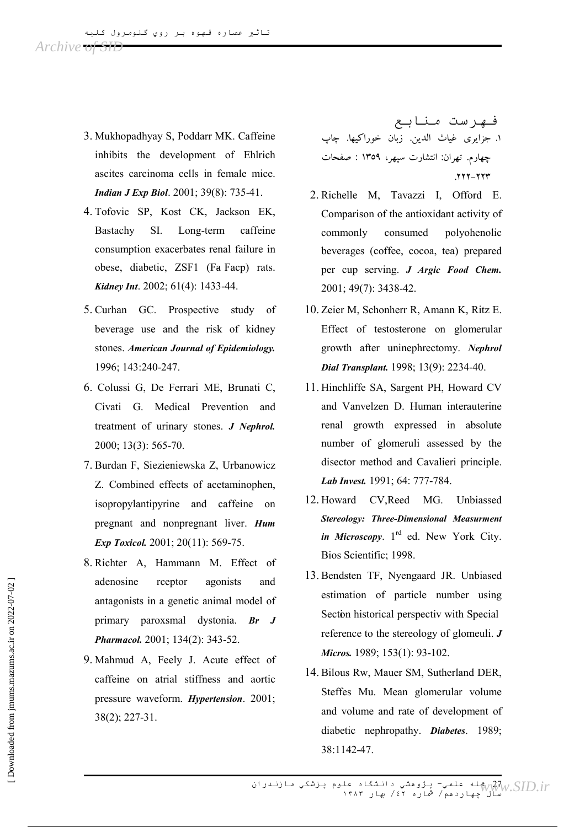- 3. Mukhopadhyay S, Poddarr MK. Caffeine inhibits the development of Ehlrich ascites carcinoma cells in female mice. **Indian J Exp Biol.** 2001; 39(8): 735-41.
- 4. Tofovic SP, Kost CK, Jackson EK, Long-term Bastachy SI. caffeine consumption exacerbates renal failure in obese, diabetic, ZSF1 (Fa Facp) rats. Kidney Int. 2002; 61(4): 1433-44.
- 5. Curhan GC. Prospective study of beverage use and the risk of kidney stones. American Journal of Epidemiology. 1996; 143:240-247.
- 6. Colussi G, De Ferrari ME, Brunati C, Civati G. Medical Prevention and treatment of urinary stones. J Nephrol. 2000; 13(3): 565-70.
- 7. Burdan F, Siezieniewska Z, Urbanowicz Z. Combined effects of acetaminophen, isopropylantipyrine and caffeine on pregnant and nonpregnant liver. Hum *Exp Toxicol.* 2001; 20(11): 569-75.
- 8. Richter A, Hammann M. Effect of adenosine rceptor agonists and antagonists in a genetic animal model of primary paroxsmal dystonia. Br J Pharmacol. 2001; 134(2): 343-52.
- 9. Mahmud A, Feely J. Acute effect of caffeine on atrial stiffness and aortic pressure waveform. Hypertension. 2001;  $38(2)$ ; 227-31.

فـهرست مـنابـع ١. جزايري غياث الدين. زبان خوراكيها. چاپ چهارم. تهران: انتشارت سپهر، ۱۳۵۹ : صفحات .٢٢٢-٢٢٣

- 2. Richelle M, Tavazzi I, Offord E. Comparison of the antioxidant activity of commonly consumed polyohenolic beverages (coffee, cocoa, tea) prepared per cup serving. J Argic Food Chem. 2001; 49(7): 3438-42.
- 10. Zeier M. Schonherr R. Amann K. Ritz E. Effect of testosterone on glomerular growth after uninephrectomy. Nephrol Dial Transplant. 1998; 13(9): 2234-40.
- 11. Hinchliffe SA, Sargent PH, Howard CV and Vanvelzen D. Human interauterine renal growth expressed in absolute number of glomeruli assessed by the disector method and Cavalieri principle. Lab Invest. 1991; 64: 777-784.
- 12. Howard CV, Reed MG. Unbiassed **Stereology: Three-Dimensional Measurment** in Microscopy.  $1<sup>rd</sup>$  ed. New York City. Bios Scientific; 1998.
- 13. Bendsten TF. Nyengaard JR. Unbiased estimation of particle number using Section historical perspectiv with Special reference to the stereology of glomeuli.  $J$ Micros. 1989; 153(1): 93-102.
- 14. Bilous Rw. Mauer SM. Sutherland DER. Steffes Mu. Mean glomerular volume and volume and rate of development of diabetic nephropathy. Diabetes. 1989; 38:1142-47.